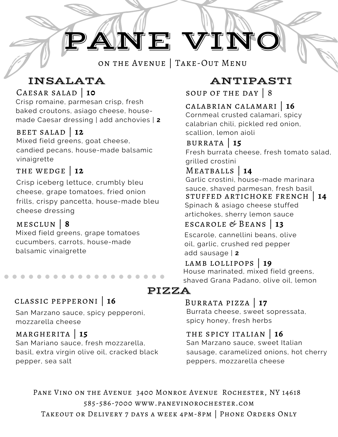# PANE VINO

on the Avenue | Take-Out Menu

Caesar salad | **10**

Crisp romaine, parmesan crisp, fresh baked croutons, asiago cheese, housemade Caesar dressing | add anchovies | **2**

#### beet salad | **12**

Mixed field greens, goat cheese, candied pecans, house-made balsamic vinaigrette

#### the wedge | **12**

Crisp iceberg lettuce, crumbly bleu cheese, grape tomatoes, fried onion frills, crispy pancetta, house-made bleu cheese dressing

#### mesclun | **8**

Mixed field greens, grape tomatoes cucumbers, carrots, house-made balsamic vinaigrette

#### classic pepperoni | **16**

San Marzano sauce, spicy pepperoni, mozzarella cheese

#### margherita | **15**

San Mariano sauce, fresh mozzarella, basil, extra virgin olive oil, cracked black pepper, sea salt

### INSALATA ANTIPASTI

soup of the day | 8

#### calabrian calamari | **16**

Cornmeal crusted calamari, spicy calabrian chili, pickled red onion, scallion, lemon aioli

burrata | **15** Fresh burrata cheese, fresh tomato salad, grilled crostini

### Meatballs | **14**

stuffed artichoke french | **14** Spinach & asiago cheese stuffed artichokes, sherry lemon sauce Garlic crostini, house-made marinara sauce, shaved parmesan, fresh basil

#### escarole & Beans | **13**

Escarole, cannellini beans, olive oil, garlic, crushed red pepper add sausage | **2**

#### lamb lollipops | **19**

House marinated, mixed field greens, shaved Grana Padano, olive oil, lemon

#### PIZZA

#### Burrata pizza | **17**

Burrata cheese, sweet sopressata, spicy honey, fresh herbs

#### the spicy italian | **16**

San Marzano sauce, sweet Italian sausage, caramelized onions, hot cherry peppers, mozzarella cheese

Pane Vino on the Avenue 3400 Monroe Avenue Rochester, NY 14618 585-586-7000 www.panevinorochester.com Takeout or Delivery 7 days a week 4pm-8pm | Phone Orders Only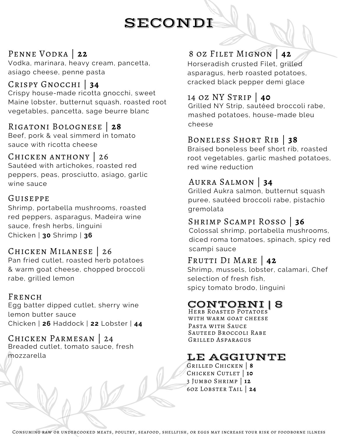## SECONDI

Vodka, marinara, heavy cream, pancetta, asiago cheese, penne pasta

#### Crispy Gnocchi | **34**

Crispy house-made ricotta gnocchi, sweet Maine lobster, butternut squash, roasted root vegetables, pancetta, sage beurre blanc

#### Rigatoni Bolognese | **28**

Beef, pork & veal simmerd in tomato sauce with ricotta cheese

#### Chicken anthony | 26

Sautéed with artichokes, roasted red peppers, peas, prosciutto, asiago, garlic wine sauce

#### Guiseppe

Shrimp, portabella mushrooms, roasted gremolata red peppers, asparagus, Madeira wine sauce, fresh herbs, linguini

#### Chicken Milanese | 26

Pan fried cutlet, roasted herb potatoes & warm goat cheese, chopped broccoli rabe, grilled lemon

#### FRENCH

Egg batter dipped cutlet, sherry wine lemon butter sauce Chicken | **26** Haddock | **22** Lobster | **44**

#### CHICKEN PARMESAN Breaded cutlet, tomato sauce, fresh mozzarella

#### PENNE VODKA | 22 8 OZ FILET MIGNON | 42

Horseradish crusted Filet, grilled asparagus, herb roasted potatoes, cracked black pepper demi glace

#### 14 oz NY Strip | **40**

Grilled NY Strip, sautéed broccoli rabe, mashed potatoes, house-made bleu cheese

#### Boneless Short Rib | **38**

Braised boneless beef short rib, roasted root vegetables, garlic mashed potatoes, red wine reduction

#### Aukra Salmon | **34**

Grilled Aukra salmon, butternut squash puree, sautéed broccoli rabe, pistachio

#### Shrimp Scampi Rosso | **36**

Chicken | **30** Shrimp | **<sup>36</sup>** Colossal shrimp, portabella mushrooms, diced roma tomatoes, spinach, spicy red scampi sauce

#### Frutti Di Mare | **42**

Shrimp, mussels, lobster, calamari, Chef selection of fresh fish, spicy tomato brodo, linguini

### CONTORNI<br>Herb Roasted Potatoes

with warm goat cheese Grilled Asparagus Sauteed Broccoli Rabe Pasta with Sauce

### LE AGGIUNTE

Grilled Chicken | **8** 3 Jumbo Shrimp | **12** 6oz Lobster Tail | **24** Chicken Cutlet | **10**

Consuming raw or undercooked meats, poultry, seafood, shellfish, or eggs may increase your risk of foodborne illness